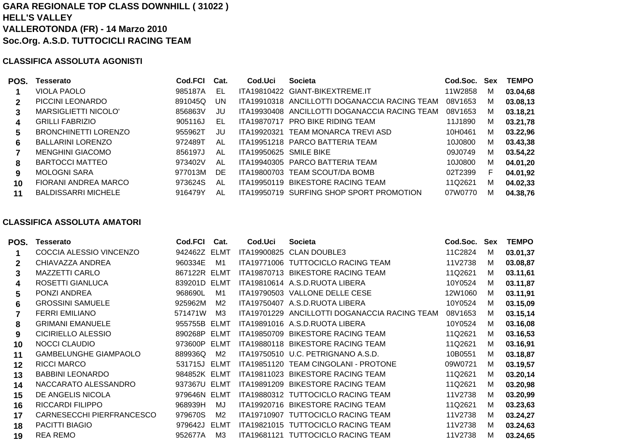# **GARA REGIONALE TOP CLASS DOWNHILL ( 31022 ) HELL'S VALLEYVALLEROTONDA (FR) - 14 Marzo 2010 Soc.Org. A.S.D. TUTTOCICLI RACING TEAM**

## **CLASSIFICA ASSOLUTA AGONISTI**

| POS.         | Tesserato                   | Cod.FCI | Cat.      | Cod.Uci                | <b>Societa</b>                                | Cod.Soc. | Sex | <b>TEMPO</b> |
|--------------|-----------------------------|---------|-----------|------------------------|-----------------------------------------------|----------|-----|--------------|
|              | <b>VIOLA PAOLO</b>          | 985187A | EL        |                        | ITA19810422 GIANT-BIKEXTREME.IT               | 11W2858  | м   | 03.04,68     |
| $\mathbf{2}$ | PICCINI LEONARDO            | 891045Q | <b>UN</b> |                        | ITA19910318 ANCILLOTTI DOGANACCIA RACING TEAM | 08V1653  | м   | 03.08,13     |
| 3            | <b>MARSIGLIETTI NICOLO'</b> | 856863V | JU        |                        | ITA19930408 ANCILLOTTI DOGANACCIA RACING TEAM | 08V1653  | M   | 03.18,21     |
| 4            | <b>GRILLI FABRIZIO</b>      | 905116J | EL        | <b>ITA19870717</b>     | PRO BIKE RIDING TEAM                          | 11J1890  | м   | 03.21,78     |
| 5            | <b>BRONCHINETTI LORENZO</b> | 955962T | JU        | ITA19920321            | TEAM MONARCA TREVI ASD                        | 10H0461  | м   | 03.22,96     |
| 6            | <b>BALLARINI LORENZO</b>    | 972489T | AL        |                        | ITA19951218 PARCO BATTERIA TEAM               | 10J0800  | м   | 03.43,38     |
|              | <b>MENGHINI GIACOMO</b>     | 856197J | AL        | ITA19950625 SMILE BIKE |                                               | 09J0749  | M   | 03.54,22     |
| 8            | <b>BARTOCCI MATTEO</b>      | 973402V | AL        |                        | ITA19940305 PARCO BATTERIA TEAM               | 10J0800  | M   | 04.01,20     |
| 9            | <b>MOLOGNI SARA</b>         | 977013M | <b>DE</b> |                        | ITA19800703 TEAM SCOUT/DA BOMB                | 02T2399  | F.  | 04.01,92     |
| 10           | FIORANI ANDREA MARCO        | 973624S | AL        | ITA19950119            | BIKESTORE RACING TEAM                         | 11Q2621  | M   | 04.02,33     |
| 11           | <b>BALDISSARRI MICHELE</b>  | 916479Y | AL        | ITA19950719            | SURFING SHOP SPORT PROMOTION                  | 07W0770  | М   | 04.38,76     |

## **CLASSIFICA ASSOLUTA AMATORI**

| POS.        | Tesserato                    | Cod.FCI      | Cat.           | Cod.Uci     | <b>Societa</b>                                | Cod.Soc. | Sex | <b>TEMPO</b> |
|-------------|------------------------------|--------------|----------------|-------------|-----------------------------------------------|----------|-----|--------------|
|             | COCCIA ALESSIO VINCENZO      | 942462Z ELMT |                | ITA19900825 | <b>CLAN DOUBLE3</b>                           | 11C2824  | M   | 03.01,37     |
| $\mathbf 2$ | CHIAVAZZA ANDREA             | 960334E      | M1             |             | ITA19771006 TUTTOCICLO RACING TEAM            | 11V2738  | м   | 03.08,87     |
| 3           | <b>MAZZETTI CARLO</b>        | 867122R ELMT |                |             | ITA19870713 BIKESTORE RACING TEAM             | 11Q2621  | м   | 03.11,61     |
| 4           | ROSETTI GIANLUCA             | 839201D      | ELMT           |             | ITA19810614 A.S.D.RUOTA LIBERA                | 10Y0524  | м   | 03.11,87     |
| 5           | PONZI ANDREA                 | 968690L      | M1             |             | ITA19790503 VALLONE DELLE CESE                | 12W1060  | м   | 03.11,91     |
| 6           | <b>GROSSINI SAMUELE</b>      | 925962M      | M2             |             | ITA19750407 A.S.D.RUOTA LIBERA                | 10Y0524  | м   | 03.15,09     |
|             | <b>FERRI EMILIANO</b>        | 571471W      | ΜЗ             |             | ITA19701229 ANCILLOTTI DOGANACCIA RACING TEAM | 08V1653  | м   | 03.15,14     |
| 8           | <b>GRIMANI EMANUELE</b>      | 955755B ELMT |                |             | ITA19891016 A.S.D.RUOTA LIBERA                | 10Y0524  | м   | 03.16,08     |
| 9           | <b>CICIRIELLO ALESSIO</b>    | 890268P      | ELMT           |             | ITA19850709 BIKESTORE RACING TEAM             | 11Q2621  | м   | 03.16,53     |
| 10          | NOCCI CLAUDIO                | 973600P      | ELMT           |             | ITA19880118 BIKESTORE RACING TEAM             | 11Q2621  | м   | 03.16,91     |
| 11          | <b>GAMBELUNGHE GIAMPAOLO</b> | 889936Q      | M <sub>2</sub> |             | ITA19750510 U.C. PETRIGNANO A.S.D.            | 10B0551  | м   | 03.18,87     |
| 12          | <b>RICCI MARCO</b>           | 531715J      | ELMT           |             | ITA19851120 TEAM CINGOLANI - PROTONE          | 09W0721  | м   | 03.19,57     |
| 13          | <b>BABBINI LEONARDO</b>      | 984852K ELMT |                |             | ITA19811023 BIKESTORE RACING TEAM             | 11Q2621  | м   | 03.20,14     |
| 14          | NACCARATO ALESSANDRO         | 937367U ELMT |                | ITA19891209 | <b>BIKESTORE RACING TEAM</b>                  | 11Q2621  | м   | 03.20,98     |
| 15          | DE ANGELIS NICOLA            | 979646N ELMT |                |             | ITA19880312 TUTTOCICLO RACING TEAM            | 11V2738  | м   | 03.20,99     |
| 16          | <b>RICCARDI FILIPPO</b>      | 968939H      | MJ             |             | ITA19920716 BIKESTORE RACING TEAM             | 11Q2621  | м   | 03.23,63     |
| 17          | CARNESECCHI PIERFRANCESCO    | 979670S      | M2             |             | ITA19710907 TUTTOCICLO RACING TEAM            | 11V2738  | м   | 03.24,27     |
| 18          | <b>PACITTI BIAGIO</b>        | 979642J      | ELMT           |             | ITA19821015 TUTTOCICLO RACING TEAM            | 11V2738  | м   | 03.24,63     |
| 19          | <b>REA REMO</b>              | 952677A      | M <sub>3</sub> |             | ITA19681121 TUTTOCICLO RACING TEAM            | 11V2738  | м   | 03.24,65     |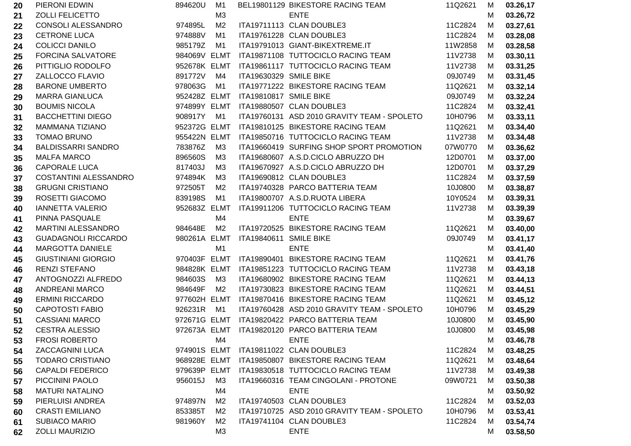| 20 | PIERONI EDWIN                | 894620U      | M <sub>1</sub> |                        | BEL19801129 BIKESTORE RACING TEAM           | 11Q2621 | M | 03.26,17 |
|----|------------------------------|--------------|----------------|------------------------|---------------------------------------------|---------|---|----------|
| 21 | <b>ZOLLI FELICETTO</b>       |              | M3             |                        | <b>ENTE</b>                                 |         | M | 03.26,72 |
| 22 | CONSOLI ALESSANDRO           | 974895L      | M <sub>2</sub> |                        | ITA19711113 CLAN DOUBLE3                    | 11C2824 | M | 03.27,61 |
| 23 | <b>CETRONE LUCA</b>          | 974888V      | M <sub>1</sub> |                        | ITA19761228 CLAN DOUBLE3                    | 11C2824 | M | 03.28,08 |
| 24 | <b>COLICCI DANILO</b>        | 985179Z      | M1             |                        | ITA19791013 GIANT-BIKEXTREME.IT             | 11W2858 | M | 03.28,58 |
| 25 | <b>FORCINA SALVATORE</b>     | 984069V ELMT |                |                        | ITA19871108 TUTTOCICLO RACING TEAM          | 11V2738 | M | 03.30,11 |
| 26 | PITTIGLIO RODOLFO            | 952678K ELMT |                |                        | ITA19861117 TUTTOCICLO RACING TEAM          | 11V2738 | M | 03.31,25 |
| 27 | ZALLOCCO FLAVIO              | 891772V      | M4             | ITA19630329 SMILE BIKE |                                             | 09J0749 | M | 03.31,45 |
| 28 | <b>BARONE UMBERTO</b>        | 978063G      | M1             |                        | ITA19771222 BIKESTORE RACING TEAM           | 11Q2621 | M | 03.32,14 |
| 29 | <b>MARRA GIANLUCA</b>        | 952428Z ELMT |                | ITA19810817 SMILE BIKE |                                             | 09J0749 | M | 03.32,24 |
| 30 | <b>BOUMIS NICOLA</b>         | 974899Y ELMT |                |                        | ITA19880507 CLAN DOUBLE3                    | 11C2824 | M | 03.32,41 |
| 31 | <b>BACCHETTINI DIEGO</b>     | 908917Y      | M1             |                        | ITA19760131 ASD 2010 GRAVITY TEAM - SPOLETO | 10H0796 | M | 03.33,11 |
| 32 | MAMMANA TIZIANO              | 952372G ELMT |                |                        | ITA19810125 BIKESTORE RACING TEAM           | 11Q2621 | M | 03.34,40 |
| 33 | <b>TOMAO BRUNO</b>           | 955422N ELMT |                |                        | ITA19850716 TUTTOCICLO RACING TEAM          | 11V2738 | M | 03.34,48 |
| 34 | <b>BALDISSARRI SANDRO</b>    | 783876Z      | M3             |                        | ITA19660419 SURFING SHOP SPORT PROMOTION    | 07W0770 | M | 03.36,62 |
| 35 | <b>MALFA MARCO</b>           | 896560S      | M3             |                        | ITA19680607 A.S.D.CICLO ABRUZZO DH          | 12D0701 | M | 03.37,00 |
| 36 | <b>CAPORALE LUCA</b>         | 817403J      | M3             |                        | ITA19670927 A.S.D.CICLO ABRUZZO DH          | 12D0701 | М | 03.37,29 |
| 37 | <b>COSTANTINI ALESSANDRO</b> | 974894K      | M <sub>3</sub> |                        | ITA19690812 CLAN DOUBLE3                    | 11C2824 | M | 03.37,59 |
| 38 | <b>GRUGNI CRISTIANO</b>      | 972505T      | M <sub>2</sub> |                        | ITA19740328 PARCO BATTERIA TEAM             | 10J0800 | M | 03.38,87 |
| 39 | ROSETTI GIACOMO              | 839198S      | M1             |                        | ITA19800707 A.S.D.RUOTA LIBERA              | 10Y0524 | M | 03.39,31 |
| 40 | <b>IANNETTA VALERIO</b>      | 952683Z ELMT |                |                        | ITA19911206 TUTTOCICLO RACING TEAM          | 11V2738 | M | 03.39,39 |
| 41 | PINNA PASQUALE               |              | M4             |                        | <b>ENTE</b>                                 |         | M | 03.39,67 |
| 42 | <b>MARTINI ALESSANDRO</b>    | 984648E      | M <sub>2</sub> |                        | ITA19720525 BIKESTORE RACING TEAM           | 11Q2621 | М | 03.40,00 |
| 43 | <b>GUADAGNOLI RICCARDO</b>   | 980261A ELMT |                | ITA19840611 SMILE BIKE |                                             | 09J0749 | M | 03.41,17 |
| 44 | <b>MARGOTTA DANIELE</b>      |              | M1             |                        | <b>ENTE</b>                                 |         | M | 03.41,40 |
| 45 | <b>GIUSTINIANI GIORGIO</b>   | 970403F ELMT |                |                        | ITA19890401 BIKESTORE RACING TEAM           | 11Q2621 | M | 03.41,76 |
| 46 | <b>RENZI STEFANO</b>         | 984828K ELMT |                |                        | ITA19851223 TUTTOCICLO RACING TEAM          | 11V2738 | M | 03.43,18 |
| 47 | ANTOGNOZZI ALFREDO           | 984603S      | ΜЗ             |                        | ITA19680902 BIKESTORE RACING TEAM           | 11Q2621 | M | 03.44,13 |
| 48 | <b>ANDREANI MARCO</b>        | 984649F      | M <sub>2</sub> |                        | ITA19730823 BIKESTORE RACING TEAM           | 11Q2621 | M | 03.44,51 |
| 49 | <b>ERMINI RICCARDO</b>       | 977602H ELMT |                |                        | ITA19870416 BIKESTORE RACING TEAM           | 11Q2621 | M | 03.45,12 |
| 50 | <b>CAPOTOSTI FABIO</b>       | 926231R      | M1             |                        | ITA19760428 ASD 2010 GRAVITY TEAM - SPOLETO | 10H0796 | M | 03.45,29 |
| 51 | <b>CASSIANI MARCO</b>        | 972671G ELMT |                |                        | ITA19820422 PARCO BATTERIA TEAM             | 10J0800 | M | 03.45,90 |
| 52 | <b>CESTRA ALESSIO</b>        | 972673A ELMT |                |                        | ITA19820120 PARCO BATTERIA TEAM             | 10J0800 | M | 03.45,98 |
| 53 | <b>FROSI ROBERTO</b>         |              | M4             |                        | <b>ENTE</b>                                 |         | M | 03.46,78 |
| 54 | <b>ZACCAGNINI LUCA</b>       | 974901S ELMT |                |                        | ITA19811022 CLAN DOUBLE3                    | 11C2824 | M | 03.48,25 |
| 55 | <b>TODARO CRISTIANO</b>      | 968928E ELMT |                |                        | ITA19850807 BIKESTORE RACING TEAM           | 11Q2621 | M | 03.48,64 |
| 56 | <b>CAPALDI FEDERICO</b>      | 979639P ELMT |                |                        | ITA19830518 TUTTOCICLO RACING TEAM          | 11V2738 | M | 03.49,38 |
| 57 | PICCININI PAOLO              | 956015J      | M <sub>3</sub> |                        | ITA19660316 TEAM CINGOLANI - PROTONE        | 09W0721 | M | 03.50,38 |
| 58 | <b>MATURI NATALINO</b>       |              | M4             |                        | <b>ENTE</b>                                 |         | M | 03.50,92 |
| 59 | PIERLUISI ANDREA             | 974897N      | M <sub>2</sub> |                        | ITA19740503 CLAN DOUBLE3                    | 11C2824 | M | 03.52,03 |
| 60 | <b>CRASTI EMILIANO</b>       | 853385T      | M <sub>2</sub> |                        | ITA19710725 ASD 2010 GRAVITY TEAM - SPOLETO | 10H0796 | M | 03.53,41 |
| 61 | SUBIACO MARIO                | 981960Y      | M <sub>2</sub> |                        | ITA19741104 CLAN DOUBLE3                    | 11C2824 | M | 03.54,74 |
| 62 | ZOLLI MAURIZIO               |              | M <sub>3</sub> |                        | <b>ENTE</b>                                 |         | M | 03.58,50 |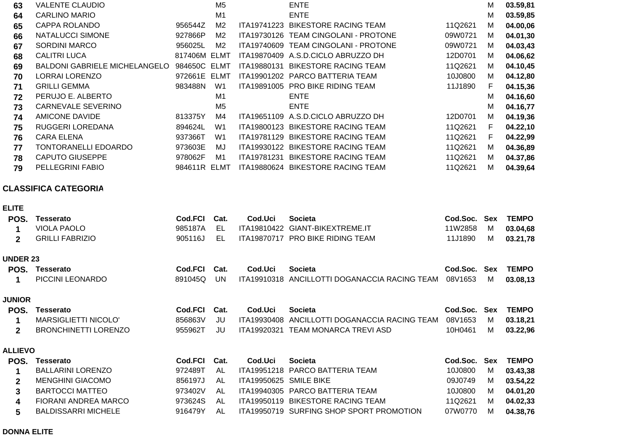| 63 | VALENTE CLAUDIO               |              | M5             |             | <b>ENTE</b>                          |         | м | 03.59,81 |
|----|-------------------------------|--------------|----------------|-------------|--------------------------------------|---------|---|----------|
| 64 | <b>CARLINO MARIO</b>          |              | M <sub>1</sub> |             | <b>ENTE</b>                          |         | м | 03.59,85 |
| 65 | CAPPA ROLANDO                 | 956544Z      | M <sub>2</sub> | ITA19741223 | <b>BIKESTORE RACING TEAM</b>         | 11Q2621 | м | 04.00,06 |
| 66 | NATALUCCI SIMONE              | 927866P      | M2             |             | ITA19730126 TEAM CINGOLANI - PROTONE | 09W0721 | м | 04.01,30 |
| 67 | <b>SORDINI MARCO</b>          | 956025L      | M <sub>2</sub> |             | ITA19740609 TEAM CINGOLANI - PROTONE | 09W0721 | м | 04.03,43 |
| 68 | <b>CALITRI LUCA</b>           | 817406M      | ELMT           |             | ITA19870409 A.S.D.CICLO ABRUZZO DH   | 12D0701 | м | 04.06,62 |
| 69 | BALDONI GABRIELE MICHELANGELO | 984650C ELMT |                | ITA19880131 | BIKESTORE RACING TEAM                | 11Q2621 | м | 04.10,45 |
| 70 | <b>LORRAI LORENZO</b>         | 972661E      | ELMT           |             | ITA19901202 PARCO BATTERIA TEAM      | 10J0800 | м | 04.12,80 |
| 71 | <b>GRILLI GEMMA</b>           | 983488N      | W1             |             | ITA19891005 PRO BIKE RIDING TEAM     | 11J1890 | F | 04.15,36 |
| 72 | PERUJO E. ALBERTO             |              | M <sub>1</sub> |             | <b>ENTE</b>                          |         | м | 04.16,60 |
| 73 | <b>CARNEVALE SEVERINO</b>     |              | M <sub>5</sub> |             | <b>ENTE</b>                          |         | м | 04.16,77 |
| 74 | <b>AMICONE DAVIDE</b>         | 813375Y      | M4             | ITA19651109 | A.S.D.CICLO ABRUZZO DH               | 12D0701 | м | 04.19,36 |
| 75 | RUGGERI LOREDANA              | 894624L      | W <sub>1</sub> | ITA19800123 | <b>BIKESTORE RACING TEAM</b>         | 11Q2621 | F | 04.22,10 |
| 76 | CARA ELENA                    | 937366T      | W <sub>1</sub> | ITA19781129 | <b>BIKESTORE RACING TEAM</b>         | 11Q2621 | F | 04.22,99 |
| 77 | TONTORANELLI EDOARDO          | 973603E      | MJ             | ITA19930122 | <b>BIKESTORE RACING TEAM</b>         | 11Q2621 | м | 04.36,89 |
| 78 | <b>CAPUTO GIUSEPPE</b>        | 978062F      | M1             | ITA19781231 | <b>BIKESTORE RACING TEAM</b>         | 11Q2621 | м | 04.37,86 |
| 79 | PELLEGRINI FABIO              | 984611R      | ELMT           | ITA19880624 | <b>BIKESTORE RACING TEAM</b>         | 11Q2621 | м | 04.39,64 |
|    |                               |              |                |             |                                      |         |   |          |

## **CLASSIFICA CATEGORIA**

|--|--|

| POS.            | Tesserato                   | Cod.FCI        | Cat. | Cod.Uci                | <b>Societa</b>                                | Cod.Soc. | <b>Sex</b> | <b>TEMPO</b> |
|-----------------|-----------------------------|----------------|------|------------------------|-----------------------------------------------|----------|------------|--------------|
|                 | <b>VIOLA PAOLO</b>          | 985187A        | EL   |                        | ITA19810422 GIANT-BIKEXTREME.IT               | 11W2858  | м          | 03.04,68     |
| $\mathbf{2}$    | <b>GRILLI FABRIZIO</b>      | 905116J        | EL.  |                        | ITA19870717 PRO BIKE RIDING TEAM              | 11J1890  | M          | 03.21,78     |
| <b>UNDER 23</b> |                             |                |      |                        |                                               |          |            |              |
| POS.            | Tesserato                   | <b>Cod.FCI</b> | Cat. | Cod.Uci                | <b>Societa</b>                                | Cod.Soc. | <b>Sex</b> | <b>TEMPO</b> |
| 1               | PICCINI LEONARDO            | 891045Q        | UN.  |                        | ITA19910318 ANCILLOTTI DOGANACCIA RACING TEAM | 08V1653  | М          | 03.08,13     |
| <b>JUNIOR</b>   |                             |                |      |                        |                                               |          |            |              |
| POS.            | <b>Tesserato</b>            | Cod.FCI        | Cat. | Cod.Uci                | <b>Societa</b>                                | Cod.Soc. | Sex        | <b>TEMPO</b> |
| 1               | <b>MARSIGLIETTI NICOLO'</b> | 856863V        | JU   | ITA19930408            | ANCILLOTTI DOGANACCIA RACING TEAM             | 08V1653  | M          | 03.18,21     |
| $\mathbf{2}$    | <b>BRONCHINETTI LORENZO</b> | 955962T        | JU   | ITA19920321            | TEAM MONARCA TREVI ASD                        | 10H0461  | М          | 03.22,96     |
| <b>ALLIEVO</b>  |                             |                |      |                        |                                               |          |            |              |
| POS.            | Tesserato                   | Cod.FCI        | Cat. | Cod.Uci                | <b>Societa</b>                                | Cod.Soc. | <b>Sex</b> | <b>TEMPO</b> |
| 1               | <b>BALLARINI LORENZO</b>    | 972489T        | AL   |                        | ITA19951218 PARCO BATTERIA TEAM               | 10J0800  | M          | 03.43,38     |
| $\mathbf{2}$    | <b>MENGHINI GIACOMO</b>     | 856197J        | AL   | ITA19950625 SMILE BIKE |                                               | 09J0749  | M          | 03.54,22     |
| 3               | <b>BARTOCCI MATTEO</b>      | 973402V        | AL   |                        | ITA19940305 PARCO BATTERIA TEAM               | 10J0800  | M          | 04.01,20     |
| 4               | FIORANI ANDREA MARCO        | 973624S        | AL   |                        | ITA19950119 BIKESTORE RACING TEAM             | 11Q2621  | м          | 04.02,33     |
| 5               | <b>BALDISSARRI MICHELE</b>  | 916479Y        | AL   |                        | ITA19950719 SURFING SHOP SPORT PROMOTION      | 07W0770  | м          | 04.38,76     |

## **DONNA ELITE**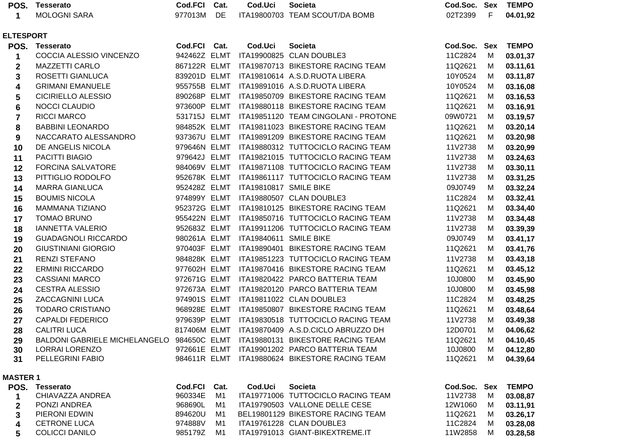| POS.                    | <b>Tesserato</b>                                                             | <b>Cod.FCI</b>               | Cat. | Cod.Uci                | <b>Societa</b>                                 | Cod.Soc. Sex |            | <b>TEMPO</b> |
|-------------------------|------------------------------------------------------------------------------|------------------------------|------|------------------------|------------------------------------------------|--------------|------------|--------------|
| 1                       | <b>MOLOGNI SARA</b>                                                          | 977013M                      | DE   |                        | ITA19800703 TEAM SCOUT/DA BOMB                 | 02T2399      | F          | 04.01,92     |
|                         |                                                                              |                              |      |                        |                                                |              |            |              |
| <b>ELTESPORT</b>        |                                                                              |                              |      |                        |                                                |              |            |              |
| POS.                    | <b>Tesserato</b><br>COCCIA ALESSIO VINCENZO                                  | Cod.FCI Cat.<br>942462Z ELMT |      | Cod.Uci                | <b>Societa</b>                                 | Cod.Soc.     | <b>Sex</b> | <b>TEMPO</b> |
| 1                       |                                                                              |                              |      |                        | ITA19900825 CLAN DOUBLE3                       | 11C2824      | M          | 03.01,37     |
| $\mathbf{2}$            | <b>MAZZETTI CARLO</b>                                                        |                              |      |                        | 867122R ELMT ITA19870713 BIKESTORE RACING TEAM | 11Q2621      | M          | 03.11,61     |
| 3                       | ROSETTI GIANLUCA                                                             |                              |      |                        | 839201D ELMT ITA19810614 A.S.D.RUOTA LIBERA    | 10Y0524      | М          | 03.11,87     |
| 4                       | <b>GRIMANI EMANUELE</b>                                                      | 955755B ELMT                 |      |                        | ITA19891016 A.S.D.RUOTA LIBERA                 | 10Y0524      | М          | 03.16,08     |
| 5                       | <b>CICIRIELLO ALESSIO</b>                                                    | 890268P ELMT                 |      |                        | ITA19850709 BIKESTORE RACING TEAM              | 11Q2621      | М          | 03.16,53     |
| $\bf 6$                 | <b>NOCCI CLAUDIO</b>                                                         | 973600P ELMT                 |      |                        | ITA19880118 BIKESTORE RACING TEAM              | 11Q2621      | М          | 03.16,91     |
| $\overline{\mathbf{7}}$ | RICCI MARCO                                                                  | 531715J ELMT                 |      |                        | ITA19851120 TEAM CINGOLANI - PROTONE           | 09W0721      | М          | 03.19,57     |
| 8                       | <b>BABBINI LEONARDO</b>                                                      | 984852K ELMT                 |      |                        | ITA19811023 BIKESTORE RACING TEAM              | 11Q2621      | M          | 03.20,14     |
| 9                       | NACCARATO ALESSANDRO                                                         | 937367U ELMT                 |      |                        | ITA19891209 BIKESTORE RACING TEAM              | 11Q2621      | M          | 03.20,98     |
| 10                      | DE ANGELIS NICOLA                                                            | 979646N ELMT                 |      |                        | ITA19880312 TUTTOCICLO RACING TEAM             | 11V2738      | M          | 03.20,99     |
| 11                      | PACITTI BIAGIO                                                               | 979642J ELMT                 |      |                        | ITA19821015 TUTTOCICLO RACING TEAM             | 11V2738      | М          | 03.24,63     |
| 12                      | <b>FORCINA SALVATORE</b>                                                     | 984069V ELMT                 |      |                        | ITA19871108 TUTTOCICLO RACING TEAM             | 11V2738      | М          | 03.30,11     |
| 13                      | PITTIGLIO RODOLFO                                                            | 952678K ELMT                 |      |                        | ITA19861117 TUTTOCICLO RACING TEAM             | 11V2738      | М          | 03.31,25     |
| 14                      | <b>MARRA GIANLUCA</b>                                                        | 952428Z ELMT                 |      | ITA19810817 SMILE BIKE |                                                | 09J0749      | М          | 03.32,24     |
| 15                      | <b>BOUMIS NICOLA</b>                                                         | 974899Y ELMT                 |      |                        | ITA19880507 CLAN DOUBLE3                       | 11C2824      | М          | 03.32,41     |
| 16                      | <b>MAMMANA TIZIANO</b>                                                       | 952372G ELMT                 |      |                        | ITA19810125 BIKESTORE RACING TEAM              | 11Q2621      | M          | 03.34,40     |
| 17                      | <b>TOMAO BRUNO</b>                                                           | 955422N ELMT                 |      |                        | ITA19850716 TUTTOCICLO RACING TEAM             | 11V2738      | M          | 03.34,48     |
| 18                      | <b>IANNETTA VALERIO</b>                                                      | 952683Z ELMT                 |      |                        | ITA19911206 TUTTOCICLO RACING TEAM             | 11V2738      | М          | 03.39,39     |
| 19                      | <b>GUADAGNOLI RICCARDO</b>                                                   | 980261A ELMT                 |      | ITA19840611 SMILE BIKE |                                                | 09J0749      | M          | 03.41,17     |
| 20                      | <b>GIUSTINIANI GIORGIO</b>                                                   | 970403F ELMT                 |      |                        | ITA19890401 BIKESTORE RACING TEAM              | 11Q2621      | М          | 03.41,76     |
| 21                      | RENZI STEFANO                                                                | 984828K ELMT                 |      |                        | ITA19851223 TUTTOCICLO RACING TEAM             | 11V2738      | М          | 03.43,18     |
| 22                      | <b>ERMINI RICCARDO</b>                                                       | 977602H ELMT                 |      |                        | ITA19870416 BIKESTORE RACING TEAM              | 11Q2621      | М          | 03.45,12     |
| 23                      | <b>CASSIANI MARCO</b>                                                        | 972671G ELMT                 |      |                        | ITA19820422 PARCO BATTERIA TEAM                | 10J0800      | M          | 03.45,90     |
| 24                      | <b>CESTRA ALESSIO</b>                                                        | 972673A ELMT                 |      |                        | ITA19820120 PARCO BATTERIA TEAM                | 10J0800      | М          | 03.45,98     |
| 25                      | ZACCAGNINI LUCA                                                              |                              |      |                        | 974901S ELMT ITA19811022 CLAN DOUBLE3          | 11C2824      | М          | 03.48,25     |
| 26                      | <b>TODARO CRISTIANO</b>                                                      | 968928E ELMT                 |      |                        | ITA19850807 BIKESTORE RACING TEAM              | 11Q2621      | М          | 03.48,64     |
| 27                      | <b>CAPALDI FEDERICO</b>                                                      | 979639P ELMT                 |      |                        | ITA19830518 TUTTOCICLO RACING TEAM             | 11V2738      | М          | 03.49,38     |
| 28                      | <b>CALITRI LUCA</b>                                                          | 817406M ELMT                 |      |                        | ITA19870409 A.S.D.CICLO ABRUZZO DH             | 12D0701      | M          | 04.06,62     |
| 29                      | BALDONI GABRIELE MICHELANGELO 984650C ELMT ITA19880131 BIKESTORE RACING TEAM |                              |      |                        |                                                | 11Q2621      | M          | 04.10,45     |
| 30                      | <b>LORRAI LORENZO</b>                                                        |                              |      |                        | 972661E ELMT ITA19901202 PARCO BATTERIA TEAM   | 10J0800      | M          | 04.12,80     |
| 31                      | PELLEGRINI FABIO                                                             |                              |      |                        | 984611R ELMT ITA19880624 BIKESTORE RACING TEAM | 11Q2621      | М          | 04.39,64     |
| <b>MASTER 1</b>         |                                                                              |                              |      |                        |                                                |              |            |              |
|                         | POS. Tesserato                                                               | <b>Cod.FCI</b>               | Cat. | Cod.Uci                | <b>Societa</b>                                 | Cod.Soc. Sex |            | <b>TEMPO</b> |
| 1                       | CHIAVAZZA ANDREA                                                             | 960334E                      | M1   |                        | ITA19771006 TUTTOCICLO RACING TEAM             | 11V2738      | M          | 03.08,87     |
| 2                       | PONZI ANDREA                                                                 | 968690L                      | M1   |                        | ITA19790503 VALLONE DELLE CESE                 | 12W1060      | M          | 03.11,91     |

| <b>FUNALMINDREA</b> | <b>JUOUJUL IVII</b> |    | TIAT9790303 VALLONE DELLE GESE    | IZWIUOU IVI |     | UJ.II, JI |
|---------------------|---------------------|----|-----------------------------------|-------------|-----|-----------|
| PIERONI EDWIN       | 894620U             | M1 | BEL19801129 BIKESTORE RACING TEAM | 11Q2621     | - M | 03.26,17  |
| CETRONE LUCA        | 974888V             | M1 | ITA19761228 CLAN DOUBLE3          | 11C2824     | M   | 03.28,08  |
| COLICCI DANILO      | 985179Z             | M1 | ITA19791013 GIANT-BIKEXTREME.IT   | 11W2858     | M   | 03.28,58  |
|                     |                     |    |                                   |             |     |           |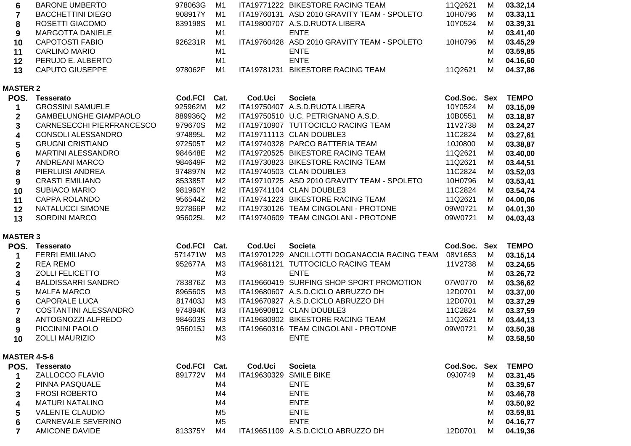| 6  | <b>BARONE UMBERTO</b>    | 978063G | M1 |             | ITA19771222 BIKESTORE RACING TEAM           | 11Q2621 | М | 03.32,14 |
|----|--------------------------|---------|----|-------------|---------------------------------------------|---------|---|----------|
|    | <b>BACCHETTINI DIEGO</b> | 908917Y | M1 |             | ITA19760131 ASD 2010 GRAVITY TEAM - SPOLETO | 10H0796 | м | 03.33,11 |
| 8  | ROSETTI GIACOMO          | 839198S | M1 |             | ITA19800707 A.S.D.RUOTA LIBERA              | 10Y0524 | м | 03.39,31 |
| 9  | MARGOTTA DANIELE         |         | M1 |             | <b>ENTE</b>                                 |         | М | 03.41,40 |
| 10 | <b>CAPOTOSTI FABIO</b>   | 926231R | M1 |             | ITA19760428 ASD 2010 GRAVITY TEAM - SPOLETO | 10H0796 | М | 03.45,29 |
| 11 | <b>CARLINO MARIO</b>     |         | M1 |             | <b>ENTE</b>                                 |         | М | 03.59,85 |
| 12 | PERUJO E. ALBERTO        |         | M1 |             | <b>ENTE</b>                                 |         | м | 04.16,60 |
| 13 | CAPUTO GIUSEPPE          | 978062F | M1 | ITA19781231 | <b>BIKESTORE RACING TEAM</b>                | 11Q2621 | м | 04.37,86 |

## **MASTER 2**

| POS.         | Tesserato                    | Cod.FCI | Cat. | Cod.Uci | <b>Societa</b>                              | Cod.Soc. | Sex | <b>TEMPO</b> |
|--------------|------------------------------|---------|------|---------|---------------------------------------------|----------|-----|--------------|
|              | <b>GROSSINI SAMUELE</b>      | 925962M | M2   |         | ITA19750407 A.S.D.RUOTA LIBERA              | 10Y0524  | м   | 03.15,09     |
| $\mathbf{2}$ | <b>GAMBELUNGHE GIAMPAOLO</b> | 889936Q | M2   |         | ITA19750510 U.C. PETRIGNANO A.S.D.          | 10B0551  | м   | 03.18,87     |
| 3            | CARNESECCHI PIERFRANCESCO    | 979670S | M2   |         | ITA19710907 TUTTOCICLO RACING TEAM          | 11V2738  | м   | 03.24,27     |
| 4            | CONSOLI ALESSANDRO           | 974895L | M2   |         | ITA19711113 CLAN DOUBLE3                    | 11C2824  | м   | 03.27,61     |
| 5.           | <b>GRUGNI CRISTIANO</b>      | 972505T | M2   |         | ITA19740328 PARCO BATTERIA TEAM             | 10J0800  | м   | 03.38,87     |
| 6            | <b>MARTINI ALESSANDRO</b>    | 984648E | M2   |         | ITA19720525 BIKESTORE RACING TEAM           | 11Q2621  | м   | 03.40,00     |
|              | ANDREANI MARCO               | 984649F | M2   |         | ITA19730823 BIKESTORE RACING TEAM           | 11Q2621  | м   | 03.44,51     |
| 8            | PIERLUISI ANDREA             | 974897N | M2   |         | ITA19740503 CLAN DOUBLE3                    | 11C2824  | м   | 03.52,03     |
| 9            | <b>CRASTI EMILIANO</b>       | 853385T | M2   |         | ITA19710725 ASD 2010 GRAVITY TEAM - SPOLETO | 10H0796  | м   | 03.53,41     |
| 10           | SUBIACO MARIO                | 981960Y | M2   |         | ITA19741104 CLAN DOUBLE3                    | 11C2824  | м   | 03.54,74     |
| 11           | CAPPA ROLANDO                | 956544Z | M2   |         | ITA19741223 BIKESTORE RACING TEAM           | 11Q2621  | м   | 04.00,06     |
| 12           | NATALUCCI SIMONE             | 927866P | M2   |         | ITA19730126 TEAM CINGOLANI - PROTONE        | 09W0721  | м   | 04.01,30     |
| 13           | <b>SORDINI MARCO</b>         | 956025L | M2   |         | ITA19740609 TEAM CINGOLANI - PROTONE        | 09W0721  | м   | 04.03,43     |

#### **MASTER 3**

| POS. | <b>Tesserato</b>          | Cod.FCI | Cat. | Cod.Uci     | <b>Societa</b>                                | Cod.Soc. | Sex | <b>TEMPO</b> |
|------|---------------------------|---------|------|-------------|-----------------------------------------------|----------|-----|--------------|
|      | <b>FERRI EMILIANO</b>     | 571471W | MЗ   |             | ITA19701229 ANCILLOTTI DOGANACCIA RACING TEAM | 08V1653  | М   | 03.15,14     |
|      | REA REMO                  | 952677A | M3   | ITA19681121 | TUTTOCICLO RACING TEAM                        | 11V2738  | м   | 03.24,65     |
|      | <b>ZOLLI FELICETTO</b>    |         | MЗ   |             | <b>ENTE</b>                                   |          | М   | 03.26,72     |
| 4    | <b>BALDISSARRI SANDRO</b> | 783876Z | MЗ   |             | ITA19660419 SURFING SHOP SPORT PROMOTION      | 07W0770  | м   | 03.36,62     |
| 5.   | <b>MALFA MARCO</b>        | 896560S | MЗ   |             | ITA19680607 A.S.D.CICLO ABRUZZO DH            | 12D0701  | М   | 03.37,00     |
| 6    | <b>CAPORALE LUCA</b>      | 817403J | MЗ   |             | ITA19670927 A.S.D.CICLO ABRUZZO DH            | 12D0701  | м   | 03.37,29     |
|      | COSTANTINI ALESSANDRO     | 974894K | MЗ   |             | ITA19690812 CLAN DOUBLE3                      | 11C2824  | М   | 03.37,59     |
| 8    | ANTOGNOZZI ALFREDO        | 984603S | MЗ   |             | ITA19680902 BIKESTORE RACING TEAM             | 11Q2621  | м   | 03.44,13     |
| 9    | PICCININI PAOLO           | 956015J | MЗ   |             | ITA19660316 TEAM CINGOLANI - PROTONE          | 09W0721  | М   | 03.50,38     |
| 10   | <b>ZOLLI MAURIZIO</b>     |         | MЗ   |             | <b>ENTE</b>                                   |          |     | 03.58,50     |

#### **MASTER 4-5-6**

| <b>TEMPO</b> |
|--------------|
| 03.31,45     |
| 03.39,67     |
| 03.46,78     |
| 03.50,92     |
| 03.59,81     |
| 04.16.77     |
| 04.19,36     |
|              |